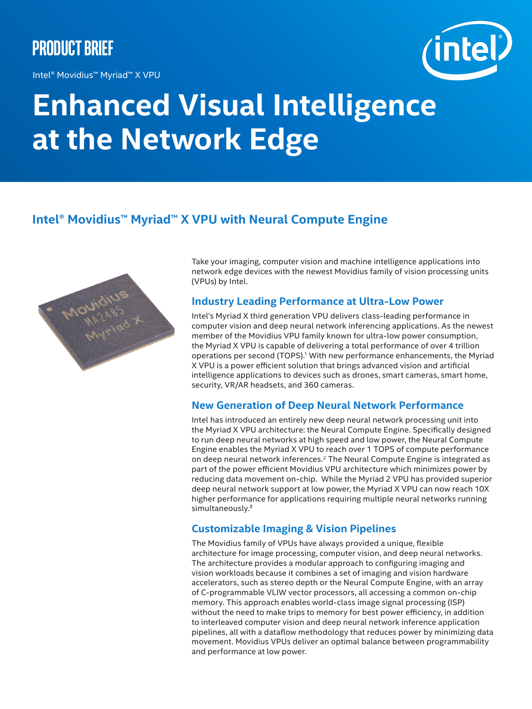## **Product Brief**

Intel® Movidius™ Myriad™ X VPU



# **Enhanced Visual Intelligence at the Network Edge**

### **Intel® Movidius™ Myriad™ X VPU with Neural Compute Engine**



Take your imaging, computer vision and machine intelligence applications into network edge devices with the newest Movidius family of vision processing units (VPUs) by Intel.

#### **Industry Leading Performance at Ultra-Low Power**

Intel's Myriad X third generation VPU delivers class-leading performance in computer vision and deep neural network inferencing applications. As the newest member of the Movidius VPU family known for ultra-low power consumption, the Myriad X VPU is capable of delivering a total performance of over 4 trillion operations per second (TOPS).1 With new performance enhancements, the Myriad X VPU is a power efficient solution that brings advanced vision and artificial intelligence applications to devices such as drones, smart cameras, smart home, security, VR/AR headsets, and 360 cameras.

#### **New Generation of Deep Neural Network Performance**

Intel has introduced an entirely new deep neural network processing unit into the Myriad X VPU architecture: the Neural Compute Engine. Specifically designed to run deep neural networks at high speed and low power, the Neural Compute Engine enables the Myriad X VPU to reach over 1 TOPS of compute performance on deep neural network inferences.<sup>2</sup> The Neural Compute Engine is integrated as part of the power efficient Movidius VPU architecture which minimizes power by reducing data movement on-chip. While the Myriad 2 VPU has provided superior deep neural network support at low power, the Myriad X VPU can now reach 10X higher performance for applications requiring multiple neural networks running simultaneously.²

#### **Customizable Imaging & Vision Pipelines**

The Movidius family of VPUs have always provided a unique, flexible architecture for image processing, computer vision, and deep neural networks. The architecture provides a modular approach to configuring imaging and vision workloads because it combines a set of imaging and vision hardware accelerators, such as stereo depth or the Neural Compute Engine, with an array of C-programmable VLIW vector processors, all accessing a common on-chip memory. This approach enables world-class image signal processing (ISP) without the need to make trips to memory for best power efficiency, in addition to interleaved computer vision and deep neural network inference application pipelines, all with a dataflow methodology that reduces power by minimizing data movement. Movidius VPUs deliver an optimal balance between programmability and performance at low power.